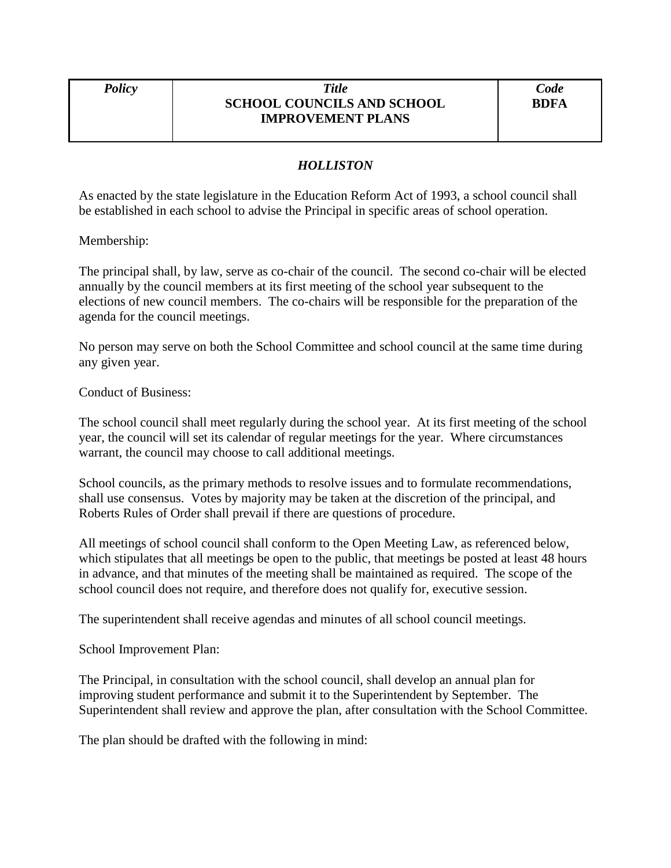## *Policy Title* **SCHOOL COUNCILS AND SCHOOL IMPROVEMENT PLANS**

## *HOLLISTON*

As enacted by the state legislature in the Education Reform Act of 1993, a school council shall be established in each school to advise the Principal in specific areas of school operation.

## Membership:

The principal shall, by law, serve as co-chair of the council. The second co-chair will be elected annually by the council members at its first meeting of the school year subsequent to the elections of new council members. The co-chairs will be responsible for the preparation of the agenda for the council meetings.

No person may serve on both the School Committee and school council at the same time during any given year.

Conduct of Business:

The school council shall meet regularly during the school year. At its first meeting of the school year, the council will set its calendar of regular meetings for the year. Where circumstances warrant, the council may choose to call additional meetings.

School councils, as the primary methods to resolve issues and to formulate recommendations, shall use consensus. Votes by majority may be taken at the discretion of the principal, and Roberts Rules of Order shall prevail if there are questions of procedure.

All meetings of school council shall conform to the Open Meeting Law, as referenced below, which stipulates that all meetings be open to the public, that meetings be posted at least 48 hours in advance, and that minutes of the meeting shall be maintained as required. The scope of the school council does not require, and therefore does not qualify for, executive session.

The superintendent shall receive agendas and minutes of all school council meetings.

School Improvement Plan:

The Principal, in consultation with the school council, shall develop an annual plan for improving student performance and submit it to the Superintendent by September. The Superintendent shall review and approve the plan, after consultation with the School Committee.

The plan should be drafted with the following in mind: